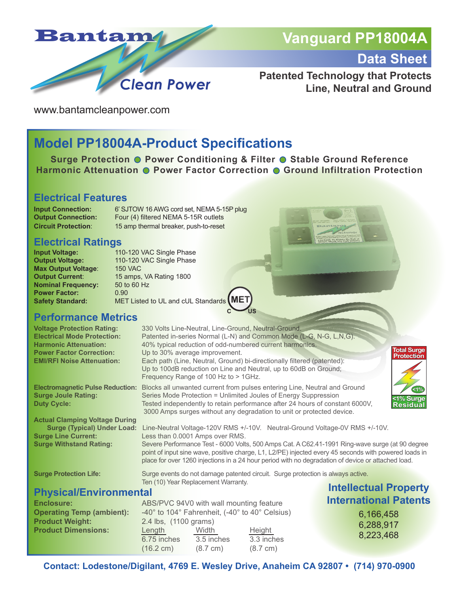

# **Vanguard PP18004A**

**Data Sheet**

8,223,468

## **Patented Technology that Protects Line, Neutral and Ground**

www.bantamcleanpower.com

# **Model PP18004A-Product Specifications**

**Surge Protection @ Power Conditioning & Filter @ Stable Ground Reference Harmonic Attenuation C Power Factor Correction C Ground Infiltration Protection** 

## **Electrical Features**

**Input Connection:** 6' SJTOW 16 AWG cord set, NEMA 5-15P plug **Output Connection:** Four (4) filtered NEMA 5-15R outlets **Circuit Protection**: 15 amp thermal breaker, push-to-reset

# **Electrical Ratings**

**Max Output Voltage: 150 VAC Nominal Frequency:** 50 to 60 Hz **Power Factor:** 0.90<br> **Safety Standard:** MET

**Input Voltage:** 110-120 VAC Single Phase<br> **Output Voltage:** 110-120 VAC Single Phase 110-120 VAC Single Phase **Output Current:** 15 amps, VA Rating 1800 **Safety Standard:** MET Listed to UL and cUL Standards **MET**

## **Performance Metrics**

| <b>Voltage Protection Rating:</b><br><b>Electrical Mode Protection:</b><br><b>Harmonic Attenuation:</b><br><b>Power Factor Correction:</b><br><b>EMI/RFI Noise Attenuation:</b> |                                                                                 | 330 Volts Line-Neutral, Line-Ground, Neutral-Ground.<br>Patented in-series Normal (L-N) and Common Mode (L-G, N-G, L,N,G).<br>40% typical reduction of odd-numbered current harmonics.<br>Up to 30% average improvement.<br>Each path (Line, Neutral, Ground) bi-directionally filtered (patented):<br>Up to 100dB reduction on Line and Neutral, up to 60dB on Ground;<br>Frequency Range of 100 Hz to > 1GHz. | <b>Total Surge</b><br><b>Protection</b> |
|---------------------------------------------------------------------------------------------------------------------------------------------------------------------------------|---------------------------------------------------------------------------------|-----------------------------------------------------------------------------------------------------------------------------------------------------------------------------------------------------------------------------------------------------------------------------------------------------------------------------------------------------------------------------------------------------------------|-----------------------------------------|
| <b>Electromagnetic Pulse Reduction:</b><br><b>Surge Joule Rating:</b><br><b>Duty Cycle:</b>                                                                                     |                                                                                 | Blocks all unwanted current from pulses entering Line, Neutral and Ground<br>(1%)<br>Series Mode Protection = Unlimited Joules of Energy Suppression<br><1% Surge<br>Tested independently to retain performance after 24 hours of constant 6000V,<br><b>Residual</b><br>3000 Amps surges without any degradation to unit or protected device.                                                                   |                                         |
| <b>Actual Clamping Voltage During</b>                                                                                                                                           |                                                                                 |                                                                                                                                                                                                                                                                                                                                                                                                                 |                                         |
| <b>Surge (Typical) Under Load:</b>                                                                                                                                              |                                                                                 | Line-Neutral Voltage-120V RMS +/-10V. Neutral-Ground Voltage-0V RMS +/-10V.                                                                                                                                                                                                                                                                                                                                     |                                         |
| <b>Surge Line Current:</b>                                                                                                                                                      |                                                                                 | Less than 0.0001 Amps over RMS.                                                                                                                                                                                                                                                                                                                                                                                 |                                         |
| <b>Surge Withstand Rating:</b>                                                                                                                                                  |                                                                                 | Severe Performance Test - 6000 Volts, 500 Amps Cat. A C62.41-1991 Ring-wave surge (at 90 degree<br>point of input sine wave, positive charge, L1, L2/PE) injected every 45 seconds with powered loads in<br>place for over 1260 injections in a 24 hour period with no degradation of device or attached load.                                                                                                  |                                         |
| <b>Surge Protection Life:</b>                                                                                                                                                   | Surge events do not damage patented circuit. Surge protection is always active. |                                                                                                                                                                                                                                                                                                                                                                                                                 |                                         |
|                                                                                                                                                                                 |                                                                                 | Ten (10) Year Replacement Warranty.                                                                                                                                                                                                                                                                                                                                                                             |                                         |
| <b>Physical/Environmental</b>                                                                                                                                                   |                                                                                 | <b>Intellectual Property</b>                                                                                                                                                                                                                                                                                                                                                                                    |                                         |
| <b>Enclosure:</b>                                                                                                                                                               |                                                                                 | ABS/PVC 94V0 with wall mounting feature                                                                                                                                                                                                                                                                                                                                                                         | <b>International Patents</b>            |
| <b>Operating Temp (ambient):</b>                                                                                                                                                |                                                                                 | -40° to 104° Fahrenheit, (-40° to 40° Celsius)                                                                                                                                                                                                                                                                                                                                                                  | 6,166,458                               |
| <b>Product Weight:</b>                                                                                                                                                          |                                                                                 | 2.4 lbs, (1100 grams)                                                                                                                                                                                                                                                                                                                                                                                           |                                         |
| <b>Product Dimensions:</b>                                                                                                                                                      |                                                                                 | Height<br>Length<br>Width                                                                                                                                                                                                                                                                                                                                                                                       | 6,288,917<br>n nnn inn                  |
|                                                                                                                                                                                 |                                                                                 |                                                                                                                                                                                                                                                                                                                                                                                                                 |                                         |

**C US**

**Contact: Lodestone/Digilant, 4769 E. Wesley Drive, Anaheim CA 92807 • (714) 970-0900**

 6.75 inches 3.5 inches 3.3 inches (16.2 cm) (8.7 cm) (8.7 cm)